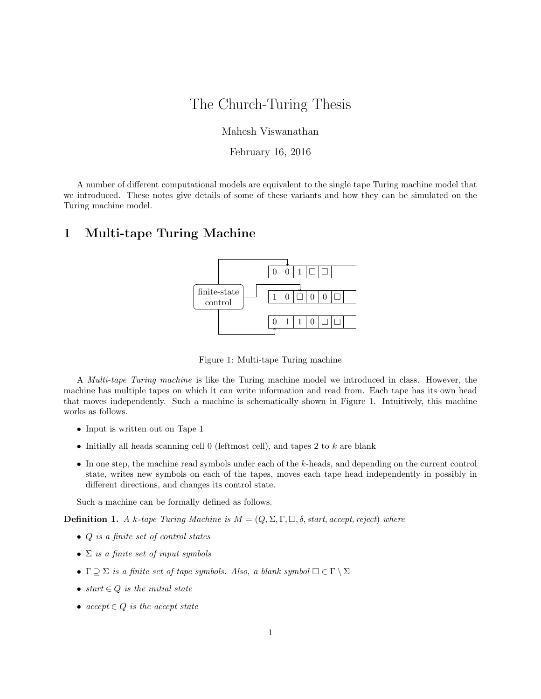# The Church-Turing Thesis

Mahesh Viswanathan

February 16, 2016

A number of different computational models are equivalent to the single tape Turing machine model that we introduced. These notes give details of some of these variants and how they can be simulated on the Turing machine model.

#### 1 Multi-tape Turing Machine



Figure 1: Multi-tape Turing machine

A Multi-tape Turing machine is like the Turing machine model we introduced in class. However, the machine has multiple tapes on which it can write information and read from. Each tape has its own head that moves independently. Such a machine is schematically shown in Figure 1. Intuitively, this machine works as follows.

- Input is written out on Tape 1
- Initially all heads scanning cell  $0$  (leftmost cell), and tapes 2 to  $k$  are blank
- In one step, the machine read symbols under each of the k-heads, and depending on the current control state, writes new symbols on each of the tapes, moves each tape head independently in possibly in different directions, and changes its control state.

Such a machine can be formally defined as follows.

**Definition 1.** A k-tape Turing Machine is  $M = (Q, \Sigma, \Gamma, \Box, \delta, start, accept, reject)$  where

- Q is a finite set of control states
- $\Sigma$  is a finite set of input symbols
- $\Gamma \supseteq \Sigma$  is a finite set of tape symbols. Also, a blank symbol  $\Box \in \Gamma \setminus \Sigma$
- start  $\in Q$  is the initial state
- $accept \in Q$  is the accept state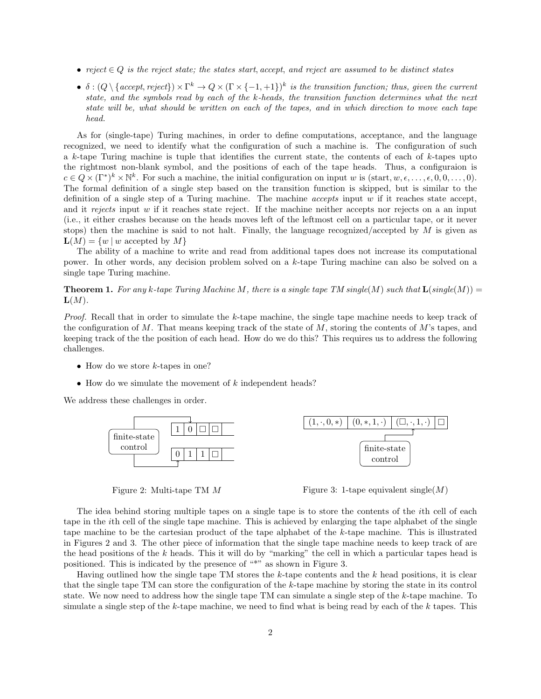- reject  $\in Q$  is the reject state; the states start, accept, and reject are assumed to be distinct states
- $\delta: (Q \setminus \{accept, reject\}) \times \Gamma^k \to Q \times (\Gamma \times \{-1, +1\})^k$  is the transition function; thus, given the current state, and the symbols read by each of the k-heads, the transition function determines what the next state will be, what should be written on each of the tapes, and in which direction to move each tape head.

As for (single-tape) Turing machines, in order to define computations, acceptance, and the language recognized, we need to identify what the configuration of such a machine is. The configuration of such a k-tape Turing machine is tuple that identifies the current state, the contents of each of k-tapes upto the rightmost non-blank symbol, and the positions of each of the tape heads. Thus, a configuraion is  $c \in Q \times (\Gamma^*)^k \times \mathbb{N}^k$ . For such a machine, the initial configuration on input w is  $(\text{start}, w, \epsilon, \ldots, \epsilon, 0, 0, \ldots, 0)$ . The formal definition of a single step based on the transition function is skipped, but is similar to the definition of a single step of a Turing machine. The machine *accepts* input  $w$  if it reaches state accept, and it rejects input w if it reaches state reject. If the machine neither accepts nor rejects on a an input (i.e., it either crashes because on the heads moves left of the leftmost cell on a particular tape, or it never stops) then the machine is said to not halt. Finally, the language recognized/accepted by  $M$  is given as  $\mathbf{L}(M) = \{w \mid w \text{ accepted by } M\}$ 

The ability of a machine to write and read from additional tapes does not increase its computational power. In other words, any decision problem solved on a k-tape Turing machine can also be solved on a single tape Turing machine.

**Theorem 1.** For any k-tape Turing Machine M, there is a single tape TM single(M) such that  $\mathbf{L}(\text{single}(M)) =$  $\mathbf{L}(M)$ .

Proof. Recall that in order to simulate the k-tape machine, the single tape machine needs to keep track of the configuration of M. That means keeping track of the state of M, storing the contents of M's tapes, and keeping track of the the position of each head. How do we do this? This requires us to address the following challenges.

- How do we store  $k$ -tapes in one?
- How do we simulate the movement of  $k$  independent heads?

We address these challenges in order.



Figure 2: Multi-tape TM M

Figure 3: 1-tape equivalent single( $M$ )

The idea behind storing multiple tapes on a single tape is to store the contents of the ith cell of each tape in the ith cell of the single tape machine. This is achieved by enlarging the tape alphabet of the single tape machine to be the cartesian product of the tape alphabet of the k-tape machine. This is illustrated in Figures 2 and 3. The other piece of information that the single tape machine needs to keep track of are the head positions of the k heads. This it will do by "marking" the cell in which a particular tapes head is positioned. This is indicated by the presence of "\*" as shown in Figure 3.

Having outlined how the single tape TM stores the  $k$ -tape contents and the  $k$  head positions, it is clear that the single tape TM can store the configuration of the k-tape machine by storing the state in its control state. We now need to address how the single tape TM can simulate a single step of the k-tape machine. To simulate a single step of the k-tape machine, we need to find what is being read by each of the k tapes. This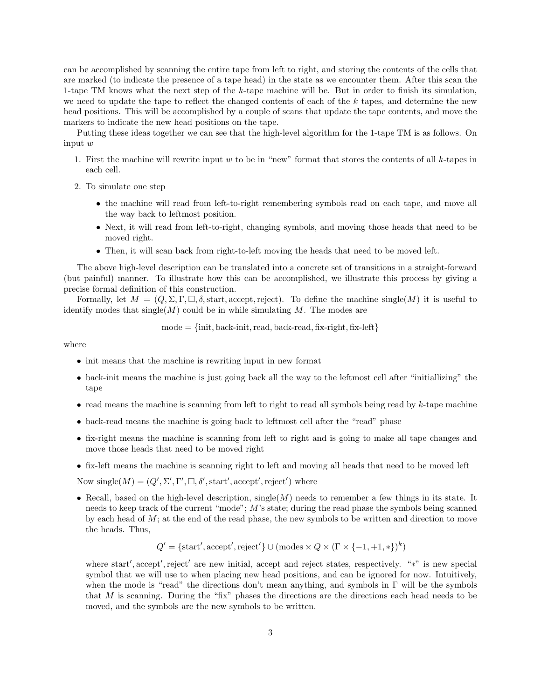can be accomplished by scanning the entire tape from left to right, and storing the contents of the cells that are marked (to indicate the presence of a tape head) in the state as we encounter them. After this scan the 1-tape TM knows what the next step of the k-tape machine will be. But in order to finish its simulation, we need to update the tape to reflect the changed contents of each of the  $k$  tapes, and determine the new head positions. This will be accomplished by a couple of scans that update the tape contents, and move the markers to indicate the new head positions on the tape.

Putting these ideas together we can see that the high-level algorithm for the 1-tape TM is as follows. On input w

- 1. First the machine will rewrite input  $w$  to be in "new" format that stores the contents of all  $k$ -tapes in each cell.
- 2. To simulate one step
	- the machine will read from left-to-right remembering symbols read on each tape, and move all the way back to leftmost position.
	- Next, it will read from left-to-right, changing symbols, and moving those heads that need to be moved right.
	- Then, it will scan back from right-to-left moving the heads that need to be moved left.

The above high-level description can be translated into a concrete set of transitions in a straight-forward (but painful) manner. To illustrate how this can be accomplished, we illustrate this process by giving a precise formal definition of this construction.

Formally, let  $M = (Q, \Sigma, \Gamma, \square, \delta, \text{start}, \text{accept}, \text{reject})$ . To define the machine single(M) it is useful to identify modes that  $\operatorname{single}(M)$  could be in while simulating M. The modes are

$$
mode = \{init, back-int, read, back-read, fix-right, fix-left\}
$$

where

- init means that the machine is rewriting input in new format
- back-init means the machine is just going back all the way to the leftmost cell after "initiallizing" the tape
- read means the machine is scanning from left to right to read all symbols being read by  $k$ -tape machine
- back-read means the machine is going back to leftmost cell after the "read" phase
- fix-right means the machine is scanning from left to right and is going to make all tape changes and move those heads that need to be moved right
- fix-left means the machine is scanning right to left and moving all heads that need to be moved left

Now single( $M$ ) = ( $Q'$ ,  $\Sigma'$ ,  $\Gamma'$ ,  $\square$ ,  $\delta'$ , start', accept', reject') where

• Recall, based on the high-level description, single( $M$ ) needs to remember a few things in its state. It needs to keep track of the current "mode"; M's state; during the read phase the symbols being scanned by each head of  $M$ ; at the end of the read phase, the new symbols to be written and direction to move the heads. Thus,

$$
Q' = \{ \text{start}', \text{accept}', \text{reject}' \} \cup (\text{modes} \times Q \times (\Gamma \times \{-1, +1, *\})^k)
$$

where start', accept', reject' are new initial, accept and reject states, respectively. "\*" is new special symbol that we will use to when placing new head positions, and can be ignored for now. Intuitively, when the mode is "read" the directions don't mean anything, and symbols in Γ will be the symbols that M is scanning. During the "fix" phases the directions are the directions each head needs to be moved, and the symbols are the new symbols to be written.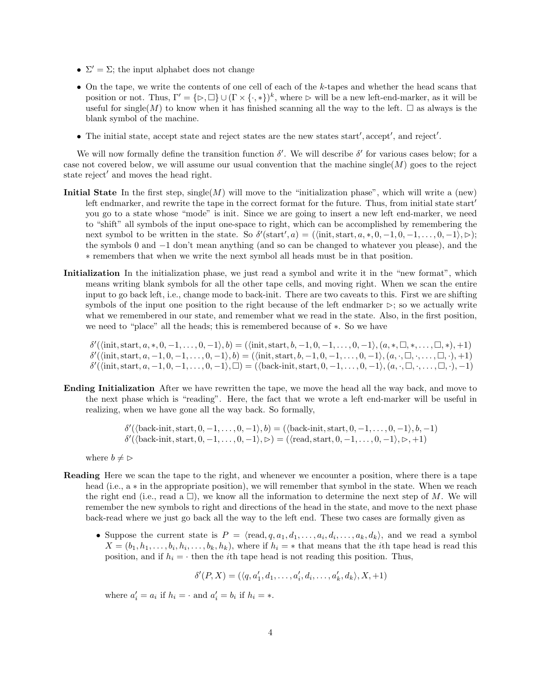- $\Sigma' = \Sigma$ ; the input alphabet does not change
- On the tape, we write the contents of one cell of each of the k-tapes and whether the head scans that position or not. Thus,  $\Gamma' = {\{\triangleright, \square\}} \cup (\Gamma \times {\{\cdot,\ast\}})^k$ , where  $\triangleright$  will be a new left-end-marker, as it will be useful for single(M) to know when it has finished scanning all the way to the left.  $\square$  as always is the blank symbol of the machine.
- The initial state, accept state and reject states are the new states start', accept', and reject'.

We will now formally define the transition function  $\delta'$ . We will describe  $\delta'$  for various cases below; for a case not covered below, we will assume our usual convention that the machine single( $M$ ) goes to the reject state reject' and moves the head right.

- **Initial State** In the first step, single(M) will move to the "initialization phase", which will write a (new) left endmarker, and rewrite the tape in the correct format for the future. Thus, from initial state start $'$ you go to a state whose "mode" is init. Since we are going to insert a new left end-marker, we need to "shift" all symbols of the input one-space to right, which can be accomplished by remembering the next symbol to be written in the state. So  $\delta'(\text{start}',a) = (\text{init}, \text{start}, a, *, 0, -1, 0, -1, \ldots, 0, -1), \triangleright);$ the symbols 0 and −1 don't mean anything (and so can be changed to whatever you please), and the ∗ remembers that when we write the next symbol all heads must be in that position.
- Initialization In the initialization phase, we just read a symbol and write it in the "new format", which means writing blank symbols for all the other tape cells, and moving right. When we scan the entire input to go back left, i.e., change mode to back-init. There are two caveats to this. First we are shifting symbols of the input one position to the right because of the left endmarker  $\triangleright$ ; so we actually write what we remembered in our state, and remember what we read in the state. Also, in the first position, we need to "place" all the heads; this is remembered because of ∗. So we have

 $\delta'(\langle \text{init}, \text{start}, a, *, 0, -1, \ldots, 0, -1 \rangle, b) = (\langle \text{init}, \text{start}, b, -1, 0, -1, \ldots, 0, -1 \rangle, (a, *, \Box, *, \ldots, \Box, *,), +1)$  $\delta'(\langle \text{init}, \text{start}, a, -1, 0, -1, \ldots, 0, -1 \rangle, b) = (\langle \text{init}, \text{start}, b, -1, 0, -1, \ldots, 0, -1 \rangle, (a, \cdot, \square, \cdot, \ldots, \square, \cdot), +1)$  $\delta'(\langle \text{init}, \text{start}, a, -1, 0, -1, \ldots, 0, -1 \rangle, \Box) = (\langle \text{back-unit}, \text{start}, 0, -1, \ldots, 0, -1 \rangle, (a, \cdot, \Box, \cdot, \ldots, \Box, \cdot), -1)$ 

Ending Initialization After we have rewritten the tape, we move the head all the way back, and move to the next phase which is "reading". Here, the fact that we wrote a left end-marker will be useful in realizing, when we have gone all the way back. So formally,

> $\delta'(\langle \text{back-init}, \text{start}, 0, -1, \ldots, 0, -1 \rangle, b) = (\langle \text{back-unit}, \text{start}, 0, -1, \ldots, 0, -1 \rangle, b, -1)$  $\delta'(\langle \text{back-init}, \text{start}, 0, -1, \ldots, 0, -1 \rangle, \triangleright) = (\langle \text{read}, \text{start}, 0, -1, \ldots, 0, -1 \rangle, \triangleright, +1)$

where  $b \neq \infty$ 

- Reading Here we scan the tape to the right, and whenever we encounter a position, where there is a tape head (i.e., a ∗ in the appropriate position), we will remember that symbol in the state. When we reach the right end (i.e., read a  $\square$ ), we know all the information to determine the next step of M. We will remember the new symbols to right and directions of the head in the state, and move to the next phase back-read where we just go back all the way to the left end. These two cases are formally given as
	- Suppose the current state is  $P = \langle \text{read}, q, a_1, d_1, \ldots, a_i, d_i, \ldots, a_k, d_k \rangle$ , and we read a symbol  $X = (b_1, h_1, \ldots, b_i, h_i, \ldots, b_k, h_k)$ , where if  $h_i = *$  that means that the *i*th tape head is read this position, and if  $h_i = \cdot$  then the *i*th tape head is not reading this position. Thus,

$$
\delta'(P, X) = (\langle q, a'_1, d_1, \dots, a'_i, d_i, \dots, a'_k, d_k \rangle, X, +1)
$$

where  $a'_i = a_i$  if  $h_i = \cdot$  and  $a'_i = b_i$  if  $h_i = *$ .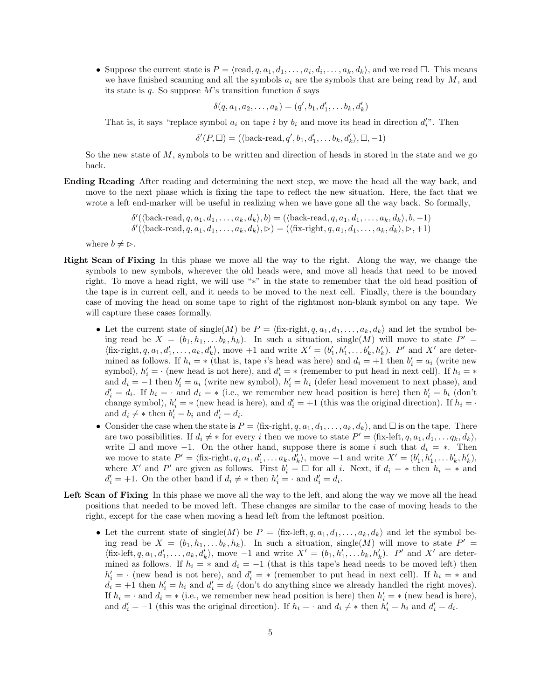• Suppose the current state is  $P = \langle \text{read}, q, a_1, d_1, \ldots, a_i, d_i, \ldots, a_k, d_k \rangle$ , and we read  $\Box$ . This means we have finished scanning and all the symbols  $a_i$  are the symbols that are being read by  $M$ , and its state is q. So suppose M's transition function  $\delta$  says

$$
\delta(q, a_1, a_2, \dots, a_k) = (q', b_1, d'_1, \dots, b_k, d'_k)
$$

That is, it says "replace symbol  $a_i$  on tape i by  $b_i$  and move its head in direction  $d_i''$ . Then

 $\delta'(P, \Box) = (\langle \text{back-read}, q', b_1, d_1', \dots, b_k, d_k' \rangle, \Box, -1)$ 

So the new state of  $M$ , symbols to be written and direction of heads in stored in the state and we go back.

Ending Reading After reading and determining the next step, we move the head all the way back, and move to the next phase which is fixing the tape to reflect the new situation. Here, the fact that we wrote a left end-marker will be useful in realizing when we have gone all the way back. So formally,

```
\delta'(\langle \text{back-read}, q, a_1, d_1, \ldots, a_k, d_k \rangle, b) = (\langle \text{back-read}, q, a_1, d_1, \ldots, a_k, d_k \rangle, b, -1)\delta'(\langle \text{back-read}, q, a_1, d_1, \ldots, a_k, d_k \rangle, \triangleright) = (\langle \text{fix-right}, q, a_1, d_1, \ldots, a_k, d_k \rangle, \triangleright, +1)
```
where  $b \neq \rhd$ .

- Right Scan of Fixing In this phase we move all the way to the right. Along the way, we change the symbols to new symbols, wherever the old heads were, and move all heads that need to be moved right. To move a head right, we will use "∗" in the state to remember that the old head position of the tape is in current cell, and it needs to be moved to the next cell. Finally, there is the boundary case of moving the head on some tape to right of the rightmost non-blank symbol on any tape. We will capture these cases formally.
	- Let the current state of single(M) be  $P = \langle$  fix-right,  $q, a_1, d_1, \ldots, a_k, d_k \rangle$  and let the symbol being read be  $X = (b_1, h_1, \ldots b_k, h_k)$ . In such a situation, single(M) will move to state  $P' =$  $\langle$ fix-right, q, a<sub>1</sub>, d'<sub>1</sub>,..., a<sub>k</sub>, d'<sub>k</sub> $\rangle$ , move +1 and write  $X' = (b'_1, h'_1, \ldots, b'_k, h'_k)$ . P' and X' are determined as follows. If  $h_i = *$  (that is, tape i's head was here) and  $d_i = +1$  then  $b'_i = a_i$  (write new symbol),  $h'_i = \cdot$  (new head is not here), and  $d'_i = *$  (remember to put head in next cell). If  $h_i = *$ and  $d_i = -1$  then  $b'_i = a_i$  (write new symbol),  $h'_i = h_i$  (defer head movement to next phase), and  $d'_i = d_i$ . If  $h_i = \cdot$  and  $d_i = *$  (i.e., we remember new head position is here) then  $b'_i = b_i$  (don't change symbol),  $h'_i$  = \* (new head is here), and  $d'_i = +1$  (this was the original direction). If  $h_i = \cdot$ and  $d_i \neq *$  then  $b'_i = b_i$  and  $d'_i = d_i$ .
	- Consider the case when the state is  $P = \{\text{fix-right}, q, a_1, d_1, \ldots, a_k, d_k\},\$  and  $\Box$  is on the tape. There are two possibilities. If  $d_i \neq *$  for every i then we move to state  $P' = \langle$  fix-left,  $q, a_1, d_1, \ldots q_k, d_k \rangle$ , write  $\Box$  and move -1. On the other hand, suppose there is some i such that  $d_i = *$ . Then we move to state  $P' = \langle \text{fix-right}, q, a_1, d'_1, \dots a_k, d'_k \rangle$ , move +1 and write  $X' = (b'_1, h'_1, \dots b'_k, h'_k)$ , where X' and P' are given as follows. First  $b'_i = \Box$  for all i. Next, if  $d_i = *$  then  $h_i = *$  and  $d'_i = +1$ . On the other hand if  $d_i \neq *$  then  $h'_i = \cdot$  and  $d'_i = d_i$ .
- Left Scan of Fixing In this phase we move all the way to the left, and along the way we move all the head positions that needed to be moved left. These changes are similar to the case of moving heads to the right, except for the case when moving a head left from the leftmost position.
	- Let the current state of single(M) be  $P = \langle f_{i} \mathbf{x} \cdot \mathbf{left}, q, a_1, d_1, \ldots, a_k, d_k \rangle$  and let the symbol being read be  $X = (b_1, h_1, \ldots b_k, h_k)$ . In such a situation, single(M) will move to state  $P' =$  $\langle$ fix-left,  $q, a_1, d'_1, \ldots, a_k, d'_k \rangle$ , move  $-1$  and write  $X' = (b_1, h'_1, \ldots, b_k, h'_k)$ . P' and X' are determined as follows. If  $h_i = *$  and  $d_i = -1$  (that is this tape's head needs to be moved left) then  $h'_i = \cdot$  (new head is not here), and  $d'_i = *$  (remember to put head in next cell). If  $h_i = *$  and  $d_i = +1$  then  $h'_i = h_i$  and  $d'_i = d_i$  (don't do anything since we already handled the right moves). If  $h_i = \cdot$  and  $d_i = *$  (i.e., we remember new head position is here) then  $h'_i = *$  (new head is here), and  $d'_i = -1$  (this was the original direction). If  $h_i = \cdot$  and  $d_i \neq *$  then  $h'_i = h_i$  and  $d'_i = d_i$ .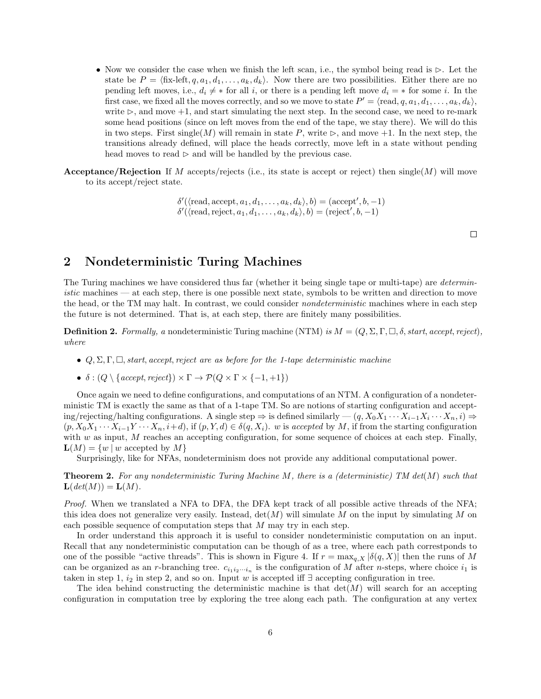- Now we consider the case when we finish the left scan, i.e., the symbol being read is  $\triangleright$ . Let the state be  $P = \langle fix\text{-left}, q, a_1, d_1, \ldots, a_k, d_k \rangle$ . Now there are two possibilities. Either there are no pending left moves, i.e.,  $d_i \neq *$  for all i, or there is a pending left move  $d_i = *$  for some i. In the first case, we fixed all the moves correctly, and so we move to state  $P' = \langle \text{read}, q, a_1, d_1, \ldots, a_k, d_k \rangle$ , write  $\triangleright$ , and move  $+1$ , and start simulating the next step. In the second case, we need to re-mark some head positions (since on left moves from the end of the tape, we stay there). We will do this in two steps. First single(M) will remain in state P, write  $\triangleright$ , and move +1. In the next step, the transitions already defined, will place the heads correctly, move left in a state without pending head moves to read  $\triangleright$  and will be handled by the previous case.
- **Acceptance/Rejection** If M accepts/rejects (i.e., its state is accept or reject) then single(M) will move to its accept/reject state.
	- $\delta'(\langle \text{read}, \text{accept}, a_1, d_1, \ldots, a_k, d_k \rangle, b) = (\text{accept}', b, -1)$  $\delta'(\langle \mathrm{read}, \mathrm{reject}, a_1, d_1, \ldots, a_k, d_k \rangle, b) = (\mathrm{reject}', b, -1)$

 $\Box$ 

## 2 Nondeterministic Turing Machines

The Turing machines we have considered thus far (whether it being single tape or multi-tape) are *determin*istic machines — at each step, there is one possible next state, symbols to be written and direction to move the head, or the TM may halt. In contrast, we could consider *nondeterministic* machines where in each step the future is not determined. That is, at each step, there are finitely many possibilities.

**Definition 2.** Formally, a nondeterministic Turing machine (NTM) is  $M = (Q, \Sigma, \Gamma, \Box, \delta, start, accept, reject)$ , where

- $Q, \Sigma, \Gamma, \Box$ , start, accept, reject are as before for the 1-tape deterministic machine
- $\delta : (Q \setminus \{accept, reject\}) \times \Gamma \rightarrow \mathcal{P}(Q \times \Gamma \times \{-1, +1\})$

Once again we need to define configurations, and computations of an NTM. A configuration of a nondeterministic TM is exactly the same as that of a 1-tape TM. So are notions of starting configuration and accept- $\text{ing/rejecting/haltung configurations. A single step} \Rightarrow \text{is defined similarly}$   $-(q, X_0X_1 \cdots X_{i-1}X_i \cdots X_n, i) \Rightarrow$  $(p, X_0X_1 \cdots X_{i-1}Y \cdots X_n, i+d)$ , if  $(p, Y, d) \in \delta(q, X_i)$ . w is accepted by M, if from the starting configuration with  $w$  as input,  $M$  reaches an accepting configuration, for some sequence of choices at each step. Finally,  $\mathbf{L}(M) = \{w \mid w \text{ accepted by } M\}$ 

Surprisingly, like for NFAs, nondeterminism does not provide any additional computational power.

**Theorem 2.** For any nondeterministic Turing Machine M, there is a (deterministic) TM det(M) such that  $\mathbf{L}(\det(M)) = \mathbf{L}(M).$ 

Proof. When we translated a NFA to DFA, the DFA kept track of all possible active threads of the NFA; this idea does not generalize very easily. Instead,  $\det(M)$  will simulate M on the input by simulating M on each possible sequence of computation steps that  $M$  may try in each step.

In order understand this approach it is useful to consider nondeterministic computation on an input. Recall that any nondeterministic computation can be though of as a tree, where each path correstponds to one of the possible "active threads". This is shown in Figure 4. If  $r = \max_{q,X} |\delta(q,X)|$  then the runs of M can be organized as an r-branching tree.  $c_{i_1i_2\cdots i_n}$  is the configuration of M after n-steps, where choice  $i_1$  is taken in step 1,  $i_2$  in step 2, and so on. Input w is accepted iff ∃ accepting configuration in tree.

The idea behind constructing the deterministic machine is that  $\det(M)$  will search for an accepting configuration in computation tree by exploring the tree along each path. The configuration at any vertex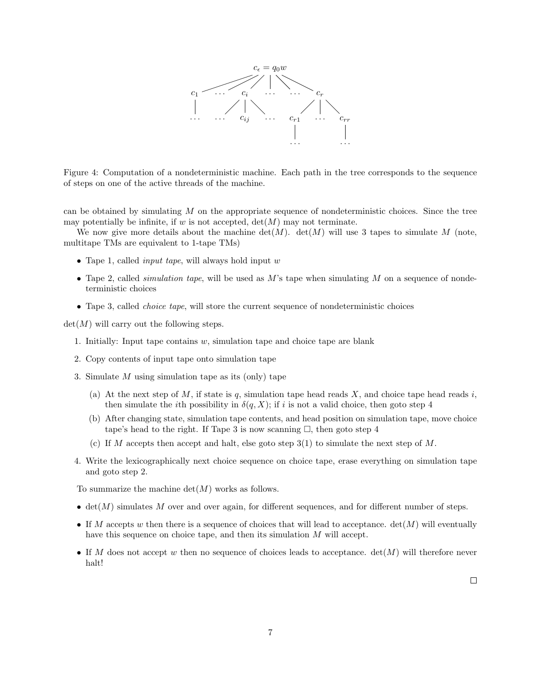

Figure 4: Computation of a nondeterministic machine. Each path in the tree corresponds to the sequence of steps on one of the active threads of the machine.

can be obtained by simulating  $M$  on the appropriate sequence of nondeterministic choices. Since the tree may potentially be infinite, if w is not accepted,  $det(M)$  may not terminate.

We now give more details about the machine  $\det(M)$ .  $\det(M)$  will use 3 tapes to simulate M (note, multitape TMs are equivalent to 1-tape TMs)

- Tape 1, called *input tape*, will always hold input  $w$
- Tape 2, called *simulation tape*, will be used as  $M$ 's tape when simulating  $M$  on a sequence of nondeterministic choices
- Tape 3, called *choice tape*, will store the current sequence of nondeterministic choices

 $\det(M)$  will carry out the following steps.

- 1. Initially: Input tape contains  $w$ , simulation tape and choice tape are blank
- 2. Copy contents of input tape onto simulation tape
- 3. Simulate M using simulation tape as its (only) tape
	- (a) At the next step of M, if state is q, simulation tape head reads X, and choice tape head reads i, then simulate the *i*th possibility in  $\delta(q, X)$ ; if *i* is not a valid choice, then goto step 4
	- (b) After changing state, simulation tape contents, and head position on simulation tape, move choice tape's head to the right. If Tape 3 is now scanning  $\Box$ , then goto step 4
	- (c) If M accepts then accept and halt, else goto step  $3(1)$  to simulate the next step of M.
- 4. Write the lexicographically next choice sequence on choice tape, erase everything on simulation tape and goto step 2.

To summarize the machine  $\det(M)$  works as follows.

- $\bullet$  det(M) simulates M over and over again, for different sequences, and for different number of steps.
- If M accepts w then there is a sequence of choices that will lead to acceptance.  $det(M)$  will eventually have this sequence on choice tape, and then its simulation M will accept.
- If M does not accept w then no sequence of choices leads to acceptance.  $det(M)$  will therefore never halt!

 $\Box$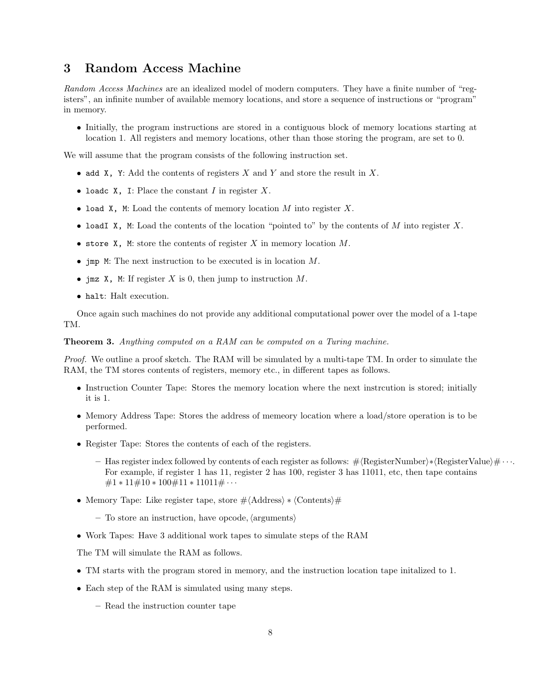## 3 Random Access Machine

Random Access Machines are an idealized model of modern computers. They have a finite number of "registers", an infinite number of available memory locations, and store a sequence of instructions or "program" in memory.

• Initially, the program instructions are stored in a contiguous block of memory locations starting at location 1. All registers and memory locations, other than those storing the program, are set to 0.

We will assume that the program consists of the following instruction set.

- add X, Y: Add the contents of registers  $X$  and  $Y$  and store the result in  $X$ .
- loadc X, I: Place the constant I in register  $X$ .
- load X, M: Load the contents of memory location  $M$  into register  $X$ .
- loadI X, M: Load the contents of the location "pointed to" by the contents of M into register X.
- store  $X$ , M: store the contents of register X in memory location  $M$ .
- jmp M: The next instruction to be executed is in location M.
- imz  $X$ , M: If register X is 0, then jump to instruction  $M$ .
- halt: Halt execution.

Once again such machines do not provide any additional computational power over the model of a 1-tape TM.

Theorem 3. Anything computed on a RAM can be computed on a Turing machine.

Proof. We outline a proof sketch. The RAM will be simulated by a multi-tape TM. In order to simulate the RAM, the TM stores contents of registers, memory etc., in different tapes as follows.

- Instruction Counter Tape: Stores the memory location where the next instrcution is stored; initially it is 1.
- Memory Address Tape: Stores the address of memeory location where a load/store operation is to be performed.
- Register Tape: Stores the contents of each of the registers.
	- Has register index followed by contents of each register as follows:  $\#$  (RegisterNumber)∗ (RegisterValue)  $\# \cdots$ For example, if register 1 has 11, register 2 has 100, register 3 has 11011, etc, then tape contains  $\#1 * 11 \# 10 * 100 \# 11 * 11011 \# \cdots$
- Memory Tape: Like register tape, store  $\# \langle \text{Address} \rangle * \langle \text{Contents} \rangle \#$ 
	- $-$  To store an instruction, have opcode,  $\langle$  arguments $\rangle$
- Work Tapes: Have 3 additional work tapes to simulate steps of the RAM

The TM will simulate the RAM as follows.

- TM starts with the program stored in memory, and the instruction location tape initalized to 1.
- Each step of the RAM is simulated using many steps.
	- Read the instruction counter tape